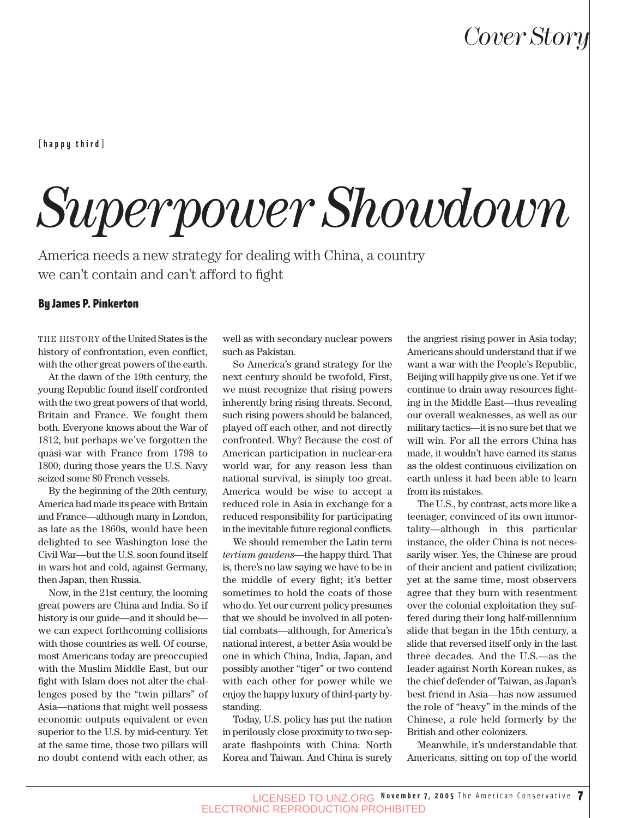**[happy third]**

# *Superpower Showdown*

America needs a new strategy for dealing with China, a country we can't contain and can't afford to fight

#### By James P. Pinkerton

THE HISTORY of the United States is the history of confrontation, even conflict, with the other great powers of the earth.

At the dawn of the 19th century, the young Republic found itself confronted with the two great powers of that world, Britain and France. We fought them both. Everyone knows about the War of 1812, but perhaps we've forgotten the quasi-war with France from 1798 to 1800; during those years the U.S. Navy seized some 80 French vessels.

By the beginning of the 20th century, America had made its peace with Britain and France—although many in London, as late as the 1860s, would have been delighted to see Washington lose the Civil War—but the U.S. soon found itself in wars hot and cold, against Germany, then Japan, then Russia.

Now, in the 21st century, the looming great powers are China and India. So if history is our guide—and it should be we can expect forthcoming collisions with those countries as well. Of course, most Americans today are preoccupied with the Muslim Middle East, but our fight with Islam does not alter the challenges posed by the "twin pillars" of Asia—nations that might well possess economic outputs equivalent or even superior to the U.S. by mid-century. Yet at the same time, those two pillars will no doubt contend with each other, as

well as with secondary nuclear powers such as Pakistan.

So America's grand strategy for the next century should be twofold, First, we must recognize that rising powers inherently bring rising threats. Second, such rising powers should be balanced, played off each other, and not directly confronted. Why? Because the cost of American participation in nuclear-era world war, for any reason less than national survival, is simply too great. America would be wise to accept a reduced role in Asia in exchange for a reduced responsibility for participating in the inevitable future regional conflicts.

We should remember the Latin term *tertium gaudens*—the happy third. That is, there's no law saying we have to be in the middle of every fight; it's better sometimes to hold the coats of those who do. Yet our current policy presumes that we should be involved in all potential combats—although, for America's national interest, a better Asia would be one in which China, India, Japan, and possibly another "tiger" or two contend with each other for power while we enjoy the happy luxury of third-party bystanding.

Today, U.S. policy has put the nation in perilously close proximity to two separate flashpoints with China: North Korea and Taiwan. And China is surely the angriest rising power in Asia today; Americans should understand that if we want a war with the People's Republic, Beijing will happily give us one. Yet if we continue to drain away resources fighting in the Middle East—thus revealing our overall weaknesses, as well as our military tactics—it is no sure bet that we will win. For all the errors China has made, it wouldn't have earned its status as the oldest continuous civilization on earth unless it had been able to learn from its mistakes.

The U.S., by contrast, acts more like a teenager, convinced of its own immortality—although in this particular instance, the older China is not necessarily wiser. Yes, the Chinese are proud of their ancient and patient civilization; yet at the same time, most observers agree that they burn with resentment over the colonial exploitation they suffered during their long half-millennium slide that began in the 15th century, a slide that reversed itself only in the last three decades. And the U.S.—as the leader against North Korean nukes, as the chief defender of Taiwan, as Japan's best friend in Asia—has now assumed the role of "heavy" in the minds of the Chinese, a role held formerly by the British and other colonizers.

Meanwhile, it's understandable that Americans, sitting on top of the world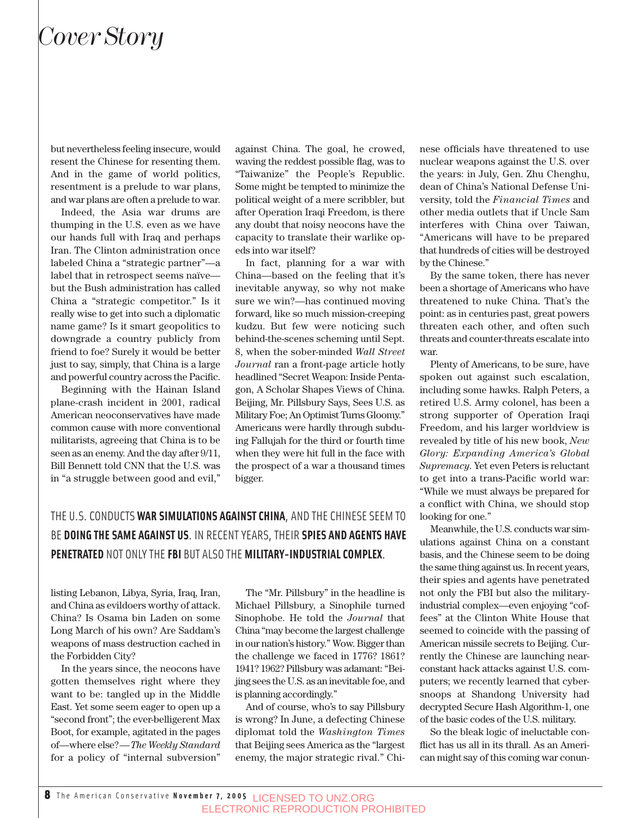but nevertheless feeling insecure, would resent the Chinese for resenting them. And in the game of world politics, resentment is a prelude to war plans, and war plans are often a prelude to war.

Indeed, the Asia war drums are thumping in the U.S. even as we have our hands full with Iraq and perhaps Iran. The Clinton administration once labeled China a "strategic partner"—a label that in retrospect seems naïve but the Bush administration has called China a "strategic competitor." Is it really wise to get into such a diplomatic name game? Is it smart geopolitics to downgrade a country publicly from friend to foe? Surely it would be better just to say, simply, that China is a large and powerful country across the Pacific.

Beginning with the Hainan Island plane-crash incident in 2001, radical American neoconservatives have made common cause with more conventional militarists, agreeing that China is to be seen as an enemy. And the day after 9/11, Bill Bennett told CNN that the U.S. was in "a struggle between good and evil,"

against China. The goal, he crowed, waving the reddest possible flag, was to "Taiwanize" the People's Republic. Some might be tempted to minimize the political weight of a mere scribbler, but after Operation Iraqi Freedom, is there any doubt that noisy neocons have the capacity to translate their warlike opeds into war itself?

In fact, planning for a war with China—based on the feeling that it's inevitable anyway, so why not make sure we win?—has continued moving forward, like so much mission-creeping kudzu. But few were noticing such behind-the-scenes scheming until Sept. 8, when the sober-minded *Wall Street Journal* ran a front-page article hotly headlined "Secret Weapon: Inside Pentagon, A Scholar Shapes Views of China. Beijing, Mr. Pillsbury Says, Sees U.S. as Military Foe; An Optimist Turns Gloomy." Americans were hardly through subduing Fallujah for the third or fourth time when they were hit full in the face with the prospect of a war a thousand times bigger.

#### THE U.S. CONDUCTS **WAR SIMULATIONS AGAINST CHINA**, AND THE CHINESE SEEM TO BE **DOING THE SAME AGAINST US**. IN RECENT YEARS, THEIR **SPIES AND AGENTS HAVE PENETRATED** NOT ONLY THE **FBI** BUT ALSO THE **MILITARY-INDUSTRIAL COMPLEX**.

listing Lebanon, Libya, Syria, Iraq, Iran, and China as evildoers worthy of attack. China? Is Osama bin Laden on some Long March of his own? Are Saddam's weapons of mass destruction cached in the Forbidden City?

In the years since, the neocons have gotten themselves right where they want to be: tangled up in the Middle East. Yet some seem eager to open up a "second front"; the ever-belligerent Max Boot, for example, agitated in the pages of—where else?—*The Weekly Standard* for a policy of "internal subversion"

The "Mr. Pillsbury" in the headline is Michael Pillsbury, a Sinophile turned Sinophobe. He told the *Journal* that China "may become the largest challenge in our nation's history." Wow. Bigger than the challenge we faced in 1776? 1861? 1941? 1962? Pillsbury was adamant: "Beijing sees the U.S. as an inevitable foe, and is planning accordingly."

And of course, who's to say Pillsbury is wrong? In June, a defecting Chinese diplomat told the *Washington Times* that Beijing sees America as the "largest enemy, the major strategic rival." Chinese officials have threatened to use nuclear weapons against the U.S. over the years: in July, Gen. Zhu Chenghu, dean of China's National Defense University, told the *Financial Times* and other media outlets that if Uncle Sam interferes with China over Taiwan, "Americans will have to be prepared that hundreds of cities will be destroyed by the Chinese."

By the same token, there has never been a shortage of Americans who have threatened to nuke China. That's the point: as in centuries past, great powers threaten each other, and often such threats and counter-threats escalate into war.

Plenty of Americans, to be sure, have spoken out against such escalation, including some hawks. Ralph Peters, a retired U.S. Army colonel, has been a strong supporter of Operation Iraqi Freedom, and his larger worldview is revealed by title of his new book, *New Glory: Expanding America's Global Supremacy*. Yet even Peters is reluctant to get into a trans-Pacific world war: "While we must always be prepared for a conflict with China, we should stop looking for one."

Meanwhile, the U.S. conducts war simulations against China on a constant basis, and the Chinese seem to be doing the same thing against us. In recent years, their spies and agents have penetrated not only the FBI but also the militaryindustrial complex—even enjoying "coffees" at the Clinton White House that seemed to coincide with the passing of American missile secrets to Beijing. Currently the Chinese are launching nearconstant hack attacks against U.S. computers; we recently learned that cybersnoops at Shandong University had decrypted Secure Hash Algorithm-1, one of the basic codes of the U.S. military.

So the bleak logic of ineluctable conflict has us all in its thrall. As an American might say of this coming war conun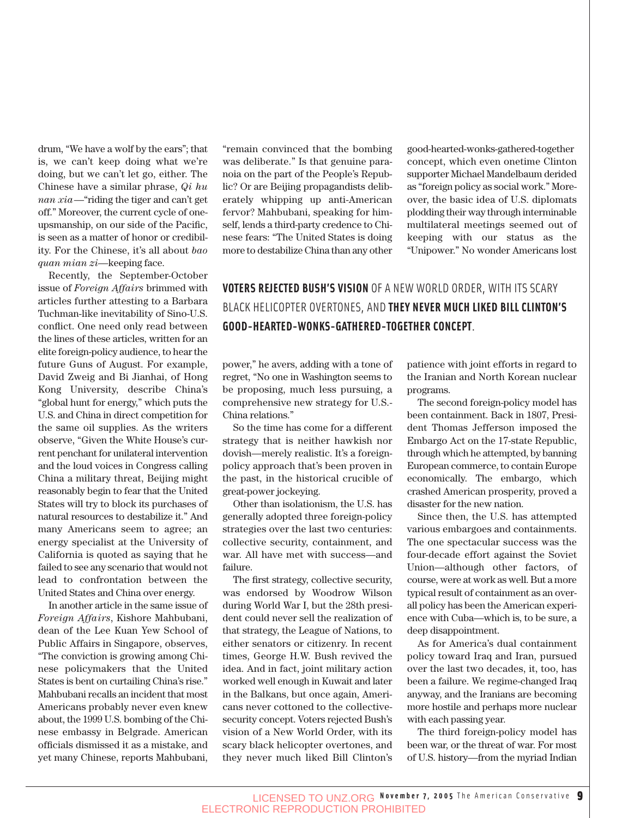drum, "We have a wolf by the ears"; that is, we can't keep doing what we're doing, but we can't let go, either. The Chinese have a similar phrase, *Qi hu nan xia*—"riding the tiger and can't get off." Moreover, the current cycle of oneupsmanship, on our side of the Pacific, is seen as a matter of honor or credibility. For the Chinese, it's all about *bao quan mian zi*—keeping face.

Recently, the September-October issue of *Foreign Affairs* brimmed with articles further attesting to a Barbara Tuchman-like inevitability of Sino-U.S. conflict. One need only read between the lines of these articles, written for an elite foreign-policy audience, to hear the future Guns of August. For example, David Zweig and Bi Jianhai, of Hong Kong University, describe China's "global hunt for energy," which puts the U.S. and China in direct competition for the same oil supplies. As the writers observe, "Given the White House's current penchant for unilateral intervention and the loud voices in Congress calling China a military threat, Beijing might reasonably begin to fear that the United States will try to block its purchases of natural resources to destabilize it." And many Americans seem to agree; an energy specialist at the University of California is quoted as saying that he failed to see any scenario that would not lead to confrontation between the United States and China over energy.

In another article in the same issue of *Foreign Affairs*, Kishore Mahbubani, dean of the Lee Kuan Yew School of Public Affairs in Singapore, observes, "The conviction is growing among Chinese policymakers that the United States is bent on curtailing China's rise." Mahbubani recalls an incident that most Americans probably never even knew about, the 1999 U.S. bombing of the Chinese embassy in Belgrade. American officials dismissed it as a mistake, and yet many Chinese, reports Mahbubani, "remain convinced that the bombing was deliberate." Is that genuine paranoia on the part of the People's Republic? Or are Beijing propagandists deliberately whipping up anti-American fervor? Mahbubani, speaking for himself, lends a third-party credence to Chinese fears: "The United States is doing more to destabilize China than any other good-hearted-wonks-gathered-together concept, which even onetime Clinton supporter Michael Mandelbaum derided as "foreign policy as social work." Moreover, the basic idea of U.S. diplomats plodding their way through interminable multilateral meetings seemed out of keeping with our status as the "Unipower." No wonder Americans lost

#### **VOTERS REJECTED BUSH'S VISION** OF A NEW WORLD ORDER, WITH ITS SCARY BLACK HELICOPTER OVERTONES, AND **THEY NEVER MUCH LIKED BILL CLINTON'S GOOD-HEARTED-WONKS-GATHERED-TOGETHER CONCEPT**.

power," he avers, adding with a tone of regret, "No one in Washington seems to be proposing, much less pursuing, a comprehensive new strategy for U.S.- China relations."

So the time has come for a different strategy that is neither hawkish nor dovish—merely realistic. It's a foreignpolicy approach that's been proven in the past, in the historical crucible of great-power jockeying.

Other than isolationism, the U.S. has generally adopted three foreign-policy strategies over the last two centuries: collective security, containment, and war. All have met with success—and failure.

The first strategy, collective security, was endorsed by Woodrow Wilson during World War I, but the 28th president could never sell the realization of that strategy, the League of Nations, to either senators or citizenry. In recent times, George H.W. Bush revived the idea. And in fact, joint military action worked well enough in Kuwait and later in the Balkans, but once again, Americans never cottoned to the collectivesecurity concept. Voters rejected Bush's vision of a New World Order, with its scary black helicopter overtones, and they never much liked Bill Clinton's patience with joint efforts in regard to the Iranian and North Korean nuclear programs.

The second foreign-policy model has been containment. Back in 1807, President Thomas Jefferson imposed the Embargo Act on the 17-state Republic, through which he attempted, by banning European commerce, to contain Europe economically. The embargo, which crashed American prosperity, proved a disaster for the new nation.

Since then, the U.S. has attempted various embargoes and containments. The one spectacular success was the four-decade effort against the Soviet Union—although other factors, of course, were at work as well. But a more typical result of containment as an overall policy has been the American experience with Cuba—which is, to be sure, a deep disappointment.

As for America's dual containment policy toward Iraq and Iran, pursued over the last two decades, it, too, has been a failure. We regime-changed Iraq anyway, and the Iranians are becoming more hostile and perhaps more nuclear with each passing year.

The third foreign-policy model has been war, or the threat of war. For most of U.S. history—from the myriad Indian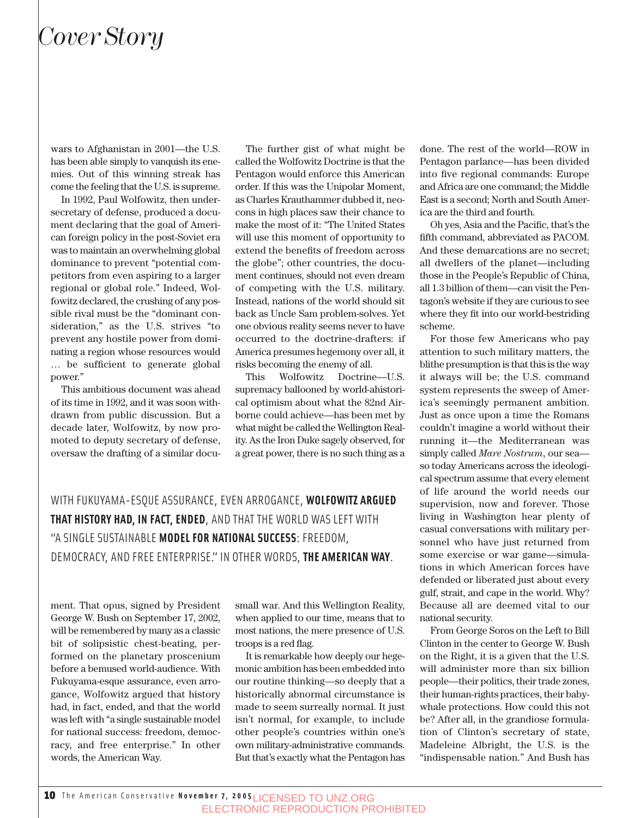wars to Afghanistan in 2001—the U.S. has been able simply to vanquish its enemies. Out of this winning streak has come the feeling that the U.S. is supreme.

In 1992, Paul Wolfowitz, then undersecretary of defense, produced a document declaring that the goal of American foreign policy in the post-Soviet era was to maintain an overwhelming global dominance to prevent "potential competitors from even aspiring to a larger regional or global role." Indeed, Wolfowitz declared, the crushing of any possible rival must be the "dominant consideration," as the U.S. strives "to prevent any hostile power from dominating a region whose resources would … be sufficient to generate global power."

This ambitious document was ahead of its time in 1992, and it was soon withdrawn from public discussion. But a decade later, Wolfowitz, by now promoted to deputy secretary of defense, oversaw the drafting of a similar docu-

The further gist of what might be called the Wolfowitz Doctrine is that the Pentagon would enforce this American order. If this was the Unipolar Moment, as Charles Krauthammer dubbed it, neocons in high places saw their chance to make the most of it: "The United States will use this moment of opportunity to extend the benefits of freedom across the globe"; other countries, the document continues, should not even dream of competing with the U.S. military. Instead, nations of the world should sit back as Uncle Sam problem-solves. Yet one obvious reality seems never to have occurred to the doctrine-drafters: if America presumes hegemony over all, it risks becoming the enemy of all.

This Wolfowitz Doctrine—U.S. supremacy ballooned by world-ahistorical optimism about what the 82nd Airborne could achieve—has been met by what might be called the Wellington Reality. As the Iron Duke sagely observed, for a great power, there is no such thing as a

WITH FUKUYAMA-ESQUE ASSURANCE, EVEN ARROGANCE, **WOLFOWITZ ARGUED THAT HISTORY HAD, IN FACT, ENDED**, AND THAT THE WORLD WAS LEFT WITH "A SINGLE SUSTAINABLE **MODEL FOR NATIONAL SUCCESS**: FREEDOM, DEMOCRACY, AND FREE ENTERPRISE." IN OTHER WORDS, **THE AMERICAN WAY**.

ment. That opus, signed by President George W. Bush on September 17, 2002, will be remembered by many as a classic bit of solipsistic chest-beating, performed on the planetary proscenium before a bemused world-audience. With Fukuyama-esque assurance, even arrogance, Wolfowitz argued that history had, in fact, ended, and that the world was left with "a single sustainable model for national success: freedom, democracy, and free enterprise." In other words, the American Way.

small war. And this Wellington Reality, when applied to our time, means that to most nations, the mere presence of U.S. troops is a red flag.

It is remarkable how deeply our hegemonic ambition has been embedded into our routine thinking—so deeply that a historically abnormal circumstance is made to seem surreally normal. It just isn't normal, for example, to include other people's countries within one's own military-administrative commands. But that's exactly what the Pentagon has done. The rest of the world—ROW in Pentagon parlance—has been divided into five regional commands: Europe and Africa are one command; the Middle East is a second; North and South America are the third and fourth.

Oh yes, Asia and the Pacific, that's the fifth command, abbreviated as PACOM. And these demarcations are no secret; all dwellers of the planet—including those in the People's Republic of China, all 1.3 billion of them—can visit the Pentagon's website if they are curious to see where they fit into our world-bestriding scheme.

For those few Americans who pay attention to such military matters, the blithe presumption is that this is the way it always will be; the U.S. command system represents the sweep of America's seemingly permanent ambition. Just as once upon a time the Romans couldn't imagine a world without their running it—the Mediterranean was simply called *Mare Nostrum*, our sea so today Americans across the ideological spectrum assume that every element of life around the world needs our supervision, now and forever. Those living in Washington hear plenty of casual conversations with military personnel who have just returned from some exercise or war game—simulations in which American forces have defended or liberated just about every gulf, strait, and cape in the world. Why? Because all are deemed vital to our national security.

From George Soros on the Left to Bill Clinton in the center to George W. Bush on the Right, it is a given that the U.S. will administer more than six billion people—their politics, their trade zones, their human-rights practices, their babywhale protections. How could this not be? After all, in the grandiose formulation of Clinton's secretary of state, Madeleine Albright, the U.S. is the "indispensable nation." And Bush has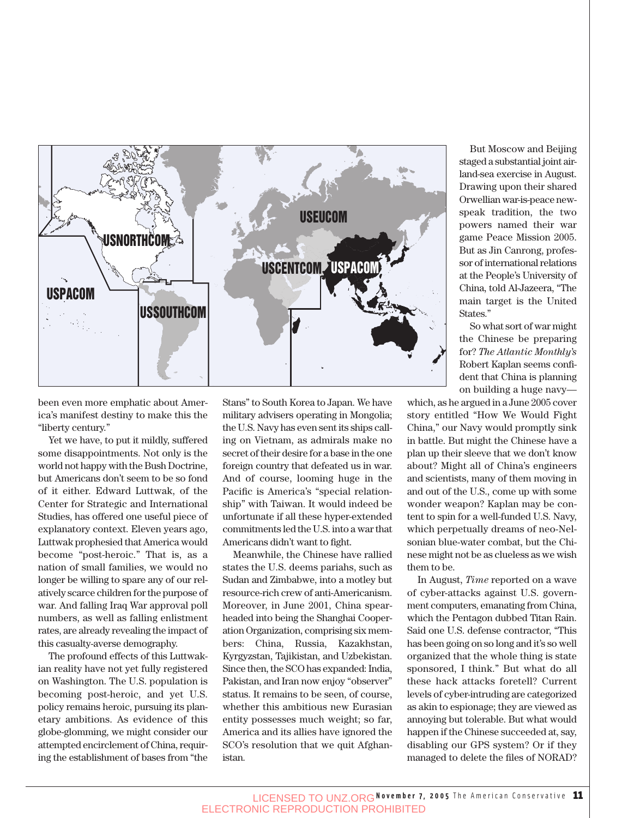

been even more emphatic about America's manifest destiny to make this the "liberty century."

Yet we have, to put it mildly, suffered some disappointments. Not only is the world not happy with the Bush Doctrine, but Americans don't seem to be so fond of it either. Edward Luttwak, of the Center for Strategic and International Studies, has offered one useful piece of explanatory context. Eleven years ago, Luttwak prophesied that America would become "post-heroic." That is, as a nation of small families, we would no longer be willing to spare any of our relatively scarce children for the purpose of war. And falling Iraq War approval poll numbers, as well as falling enlistment rates, are already revealing the impact of this casualty-averse demography.

The profound effects of this Luttwakian reality have not yet fully registered on Washington. The U.S. population is becoming post-heroic, and yet U.S. policy remains heroic, pursuing its planetary ambitions. As evidence of this globe-glomming, we might consider our attempted encirclement of China, requiring the establishment of bases from "the Stans" to South Korea to Japan. We have military advisers operating in Mongolia; the U.S. Navy has even sent its ships calling on Vietnam, as admirals make no secret of their desire for a base in the one foreign country that defeated us in war. And of course, looming huge in the Pacific is America's "special relationship" with Taiwan. It would indeed be unfortunate if all these hyper-extended commitments led the U.S. into a war that Americans didn't want to fight.

Meanwhile, the Chinese have rallied states the U.S. deems pariahs, such as Sudan and Zimbabwe, into a motley but resource-rich crew of anti-Americanism. Moreover, in June 2001, China spearheaded into being the Shanghai Cooperation Organization, comprising six members: China, Russia, Kazakhstan, Kyrgyzstan, Tajikistan, and Uzbekistan. Since then, the SCO has expanded: India, Pakistan, and Iran now enjoy "observer" status. It remains to be seen, of course, whether this ambitious new Eurasian entity possesses much weight; so far, America and its allies have ignored the SCO's resolution that we quit Afghanistan.

But Moscow and Beijing staged a substantial joint airland-sea exercise in August. Drawing upon their shared Orwellian war-is-peace newspeak tradition, the two powers named their war game Peace Mission 2005. But as Jin Canrong, professor of international relations at the People's University of China, told Al-Jazeera, "The main target is the United States."

So what sort of war might the Chinese be preparing for? *The Atlantic Monthly's* Robert Kaplan seems confident that China is planning on building a huge navy—

which, as he argued in a June 2005 cover story entitled "How We Would Fight China," our Navy would promptly sink in battle. But might the Chinese have a plan up their sleeve that we don't know about? Might all of China's engineers and scientists, many of them moving in and out of the U.S., come up with some wonder weapon? Kaplan may be content to spin for a well-funded U.S. Navy, which perpetually dreams of neo-Nelsonian blue-water combat, but the Chinese might not be as clueless as we wish them to be.

In August, *Time* reported on a wave of cyber-attacks against U.S. government computers, emanating from China, which the Pentagon dubbed Titan Rain. Said one U.S. defense contractor, "This has been going on so long and it's so well organized that the whole thing is state sponsored, I think." But what do all these hack attacks foretell? Current levels of cyber-intruding are categorized as akin to espionage; they are viewed as annoying but tolerable. But what would happen if the Chinese succeeded at, say, disabling our GPS system? Or if they managed to delete the files of NORAD?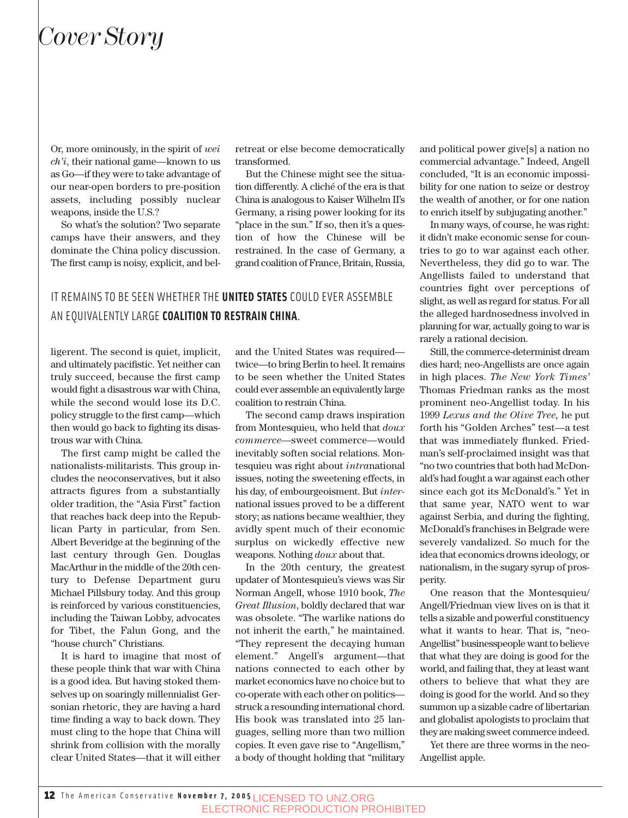Or, more ominously, in the spirit of *wei ch'i*, their national game—known to us as Go—if they were to take advantage of our near-open borders to pre-position assets, including possibly nuclear weapons, inside the U.S.?

So what's the solution? Two separate camps have their answers, and they dominate the China policy discussion. The first camp is noisy, explicit, and belretreat or else become democratically transformed.

But the Chinese might see the situation differently. A cliché of the era is that China is analogous to Kaiser Wilhelm II's Germany, a rising power looking for its "place in the sun." If so, then it's a question of how the Chinese will be restrained. In the case of Germany, a grand coalition of France, Britain, Russia,

#### IT REMAINS TO BE SEEN WHETHER THE **UNITED STATES** COULD EVER ASSEMBLE AN EQUIVALENTLY LARGE **COALITION TO RESTRAIN CHINA**.

ligerent. The second is quiet, implicit, and ultimately pacifistic. Yet neither can truly succeed, because the first camp would fight a disastrous war with China, while the second would lose its D.C. policy struggle to the first camp—which then would go back to fighting its disastrous war with China.

The first camp might be called the nationalists-militarists. This group includes the neoconservatives, but it also attracts figures from a substantially older tradition, the "Asia First" faction that reaches back deep into the Republican Party in particular, from Sen. Albert Beveridge at the beginning of the last century through Gen. Douglas MacArthur in the middle of the 20th century to Defense Department guru Michael Pillsbury today. And this group is reinforced by various constituencies, including the Taiwan Lobby, advocates for Tibet, the Falun Gong, and the "house church" Christians.

It is hard to imagine that most of these people think that war with China is a good idea. But having stoked themselves up on soaringly millennialist Gersonian rhetoric, they are having a hard time finding a way to back down. They must cling to the hope that China will shrink from collision with the morally clear United States—that it will either and the United States was required twice—to bring Berlin to heel. It remains to be seen whether the United States could ever assemble an equivalently large coalition to restrain China.

The second camp draws inspiration from Montesquieu, who held that *doux commerce*—sweet commerce—would inevitably soften social relations. Montesquieu was right about *intra*national issues, noting the sweetening effects, in his day, of embourgeoisment. But *inter*national issues proved to be a different story; as nations became wealthier, they avidly spent much of their economic surplus on wickedly effective new weapons. Nothing *doux* about that.

In the 20th century, the greatest updater of Montesquieu's views was Sir Norman Angell, whose 1910 book, *The Great Illusion*, boldly declared that war was obsolete. "The warlike nations do not inherit the earth," he maintained. "They represent the decaying human element." Angell's argument—that nations connected to each other by market economics have no choice but to co-operate with each other on politics struck a resounding international chord. His book was translated into 25 languages, selling more than two million copies. It even gave rise to "Angellism," a body of thought holding that "military and political power give[s] a nation no commercial advantage." Indeed, Angell concluded, "It is an economic impossibility for one nation to seize or destroy the wealth of another, or for one nation to enrich itself by subjugating another."

In many ways, of course, he was right: it didn't make economic sense for countries to go to war against each other. Nevertheless, they did go to war. The Angellists failed to understand that countries fight over perceptions of slight, as well as regard for status. For all the alleged hardnosedness involved in planning for war, actually going to war is rarely a rational decision.

Still, the commerce-determinist dream dies hard; neo-Angellists are once again in high places. *The New York Times'* Thomas Friedman ranks as the most prominent neo-Angellist today. In his 1999 *Lexus and the Olive Tree,* he put forth his "Golden Arches" test—a test that was immediately flunked. Friedman's self-proclaimed insight was that "no two countries that both had McDonald's had fought a war against each other since each got its McDonald's." Yet in that same year, NATO went to war against Serbia, and during the fighting, McDonald's franchises in Belgrade were severely vandalized. So much for the idea that economics drowns ideology, or nationalism, in the sugary syrup of prosperity.

One reason that the Montesquieu/ Angell/Friedman view lives on is that it tells a sizable and powerful constituency what it wants to hear. That is, "neo-Angellist" businesspeople want to believe that what they are doing is good for the world, and failing that, they at least want others to believe that what they are doing is good for the world. And so they summon up a sizable cadre of libertarian and globalist apologists to proclaim that they are making sweet commerce indeed.

Yet there are three worms in the neo-Angellist apple.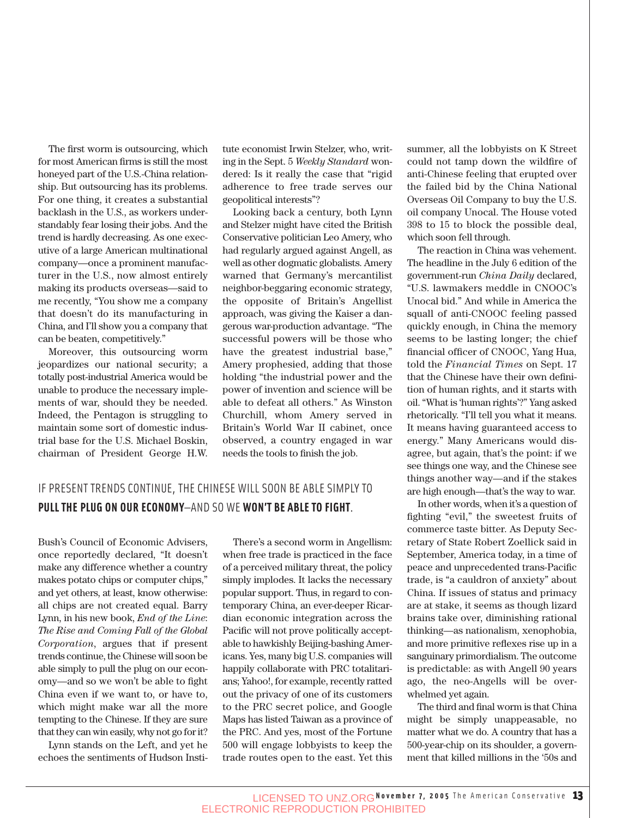The first worm is outsourcing, which for most American firms is still the most honeyed part of the U.S.-China relationship. But outsourcing has its problems. For one thing, it creates a substantial backlash in the U.S., as workers understandably fear losing their jobs. And the trend is hardly decreasing. As one executive of a large American multinational company—once a prominent manufacturer in the U.S., now almost entirely making its products overseas—said to me recently, "You show me a company that doesn't do its manufacturing in China, and I'll show you a company that can be beaten, competitively."

Moreover, this outsourcing worm jeopardizes our national security; a totally post-industrial America would be unable to produce the necessary implements of war, should they be needed. Indeed, the Pentagon is struggling to maintain some sort of domestic industrial base for the U.S. Michael Boskin, chairman of President George H.W.

tute economist Irwin Stelzer, who, writing in the Sept. 5 *Weekly Standard* wondered: Is it really the case that "rigid adherence to free trade serves our geopolitical interests"?

Looking back a century, both Lynn and Stelzer might have cited the British Conservative politician Leo Amery, who had regularly argued against Angell, as well as other dogmatic globalists. Amery warned that Germany's mercantilist neighbor-beggaring economic strategy, the opposite of Britain's Angellist approach, was giving the Kaiser a dangerous war-production advantage. "The successful powers will be those who have the greatest industrial base," Amery prophesied, adding that those holding "the industrial power and the power of invention and science will be able to defeat all others." As Winston Churchill, whom Amery served in Britain's World War II cabinet, once observed, a country engaged in war needs the tools to finish the job.

#### IF PRESENT TRENDS CONTINUE, THE CHINESE WILL SOON BE ABLE SIMPLY TO **PULL THE PLUG ON OUR ECONOMY**—AND SO WE **WON'T BE ABLE TO FIGHT**.

Bush's Council of Economic Advisers, once reportedly declared, "It doesn't make any difference whether a country makes potato chips or computer chips," and yet others, at least, know otherwise: all chips are not created equal. Barry Lynn, in his new book, *End of the Line*: *The Rise and Coming Fall of the Global Corporation*, argues that if present trends continue, the Chinese will soon be able simply to pull the plug on our economy—and so we won't be able to fight China even if we want to, or have to, which might make war all the more tempting to the Chinese. If they are sure that they can win easily, why not go for it?

Lynn stands on the Left, and yet he echoes the sentiments of Hudson Insti-

There's a second worm in Angellism: when free trade is practiced in the face of a perceived military threat, the policy simply implodes. It lacks the necessary popular support. Thus, in regard to contemporary China, an ever-deeper Ricardian economic integration across the Pacific will not prove politically acceptable to hawkishly Beijing-bashing Americans. Yes, many big U.S. companies will happily collaborate with PRC totalitarians; Yahoo!, for example, recently ratted out the privacy of one of its customers to the PRC secret police, and Google Maps has listed Taiwan as a province of the PRC. And yes, most of the Fortune 500 will engage lobbyists to keep the trade routes open to the east. Yet this summer, all the lobbyists on K Street could not tamp down the wildfire of anti-Chinese feeling that erupted over the failed bid by the China National Overseas Oil Company to buy the U.S. oil company Unocal. The House voted 398 to 15 to block the possible deal, which soon fell through.

The reaction in China was vehement. The headline in the July 6 edition of the government-run *China Daily* declared, "U.S. lawmakers meddle in CNOOC's Unocal bid." And while in America the squall of anti-CNOOC feeling passed quickly enough, in China the memory seems to be lasting longer; the chief financial officer of CNOOC, Yang Hua, told the *Financial Times* on Sept. 17 that the Chinese have their own definition of human rights, and it starts with oil. "What is 'human rights'?" Yang asked rhetorically. "I'll tell you what it means. It means having guaranteed access to energy." Many Americans would disagree, but again, that's the point: if we see things one way, and the Chinese see things another way—and if the stakes are high enough—that's the way to war.

In other words, when it's a question of fighting "evil," the sweetest fruits of commerce taste bitter. As Deputy Secretary of State Robert Zoellick said in September, America today, in a time of peace and unprecedented trans-Pacific trade, is "a cauldron of anxiety" about China. If issues of status and primacy are at stake, it seems as though lizard brains take over, diminishing rational thinking—as nationalism, xenophobia, and more primitive reflexes rise up in a sanguinary primordialism. The outcome is predictable: as with Angell 90 years ago, the neo-Angells will be overwhelmed yet again.

The third and final worm is that China might be simply unappeasable, no matter what we do. A country that has a 500-year-chip on its shoulder, a government that killed millions in the '50s and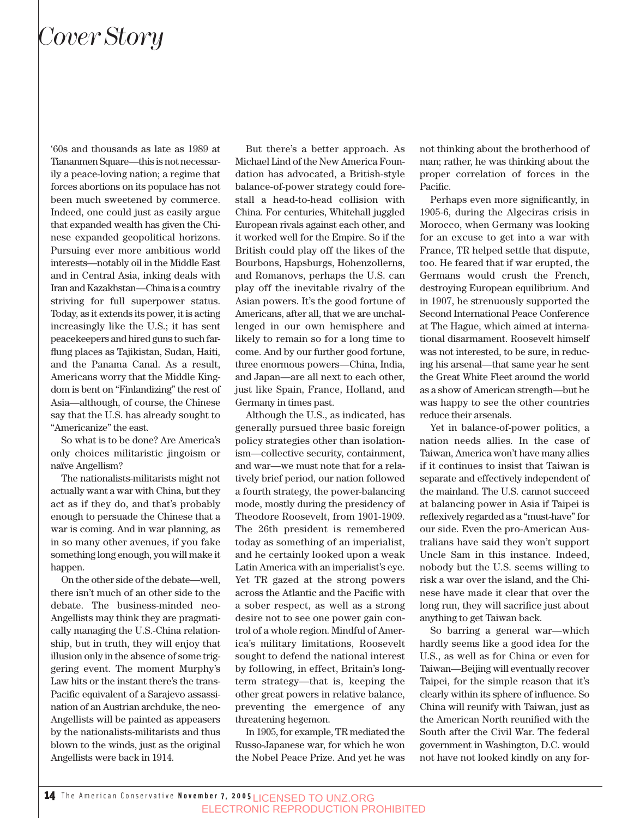'60s and thousands as late as 1989 at Tiananmen Square—this is not necessarily a peace-loving nation; a regime that forces abortions on its populace has not been much sweetened by commerce. Indeed, one could just as easily argue that expanded wealth has given the Chinese expanded geopolitical horizons. Pursuing ever more ambitious world interests—notably oil in the Middle East and in Central Asia, inking deals with Iran and Kazakhstan—China is a country striving for full superpower status. Today, as it extends its power, it is acting increasingly like the U.S.; it has sent peacekeepers and hired guns to such farflung places as Tajikistan, Sudan, Haiti, and the Panama Canal. As a result, Americans worry that the Middle Kingdom is bent on "Finlandizing" the rest of Asia—although, of course, the Chinese say that the U.S. has already sought to "Americanize" the east.

So what is to be done? Are America's only choices militaristic jingoism or naïve Angellism?

The nationalists-militarists might not actually want a war with China, but they act as if they do, and that's probably enough to persuade the Chinese that a war is coming. And in war planning, as in so many other avenues, if you fake something long enough, you will make it happen.

On the other side of the debate—well, there isn't much of an other side to the debate. The business-minded neo-Angellists may think they are pragmatically managing the U.S.-China relationship, but in truth, they will enjoy that illusion only in the absence of some triggering event. The moment Murphy's Law hits or the instant there's the trans-Pacific equivalent of a Sarajevo assassination of an Austrian archduke, the neo-Angellists will be painted as appeasers by the nationalists-militarists and thus blown to the winds, just as the original Angellists were back in 1914.

But there's a better approach. As Michael Lind of the New America Foundation has advocated, a British-style balance-of-power strategy could forestall a head-to-head collision with China. For centuries, Whitehall juggled European rivals against each other, and it worked well for the Empire. So if the British could play off the likes of the Bourbons, Hapsburgs, Hohenzollerns, and Romanovs, perhaps the U.S. can play off the inevitable rivalry of the Asian powers. It's the good fortune of Americans, after all, that we are unchallenged in our own hemisphere and likely to remain so for a long time to come. And by our further good fortune, three enormous powers—China, India, and Japan—are all next to each other, just like Spain, France, Holland, and Germany in times past.

Although the U.S., as indicated, has generally pursued three basic foreign policy strategies other than isolationism—collective security, containment, and war—we must note that for a relatively brief period, our nation followed a fourth strategy, the power-balancing mode, mostly during the presidency of Theodore Roosevelt, from 1901-1909. The 26th president is remembered today as something of an imperialist, and he certainly looked upon a weak Latin America with an imperialist's eye. Yet TR gazed at the strong powers across the Atlantic and the Pacific with a sober respect, as well as a strong desire not to see one power gain control of a whole region. Mindful of America's military limitations, Roosevelt sought to defend the national interest by following, in effect, Britain's longterm strategy—that is, keeping the other great powers in relative balance, preventing the emergence of any threatening hegemon.

In 1905, for example, TR mediated the Russo-Japanese war, for which he won the Nobel Peace Prize. And yet he was not thinking about the brotherhood of man; rather, he was thinking about the proper correlation of forces in the Pacific.

Perhaps even more significantly, in 1905-6, during the Algeciras crisis in Morocco, when Germany was looking for an excuse to get into a war with France, TR helped settle that dispute, too. He feared that if war erupted, the Germans would crush the French, destroying European equilibrium. And in 1907, he strenuously supported the Second International Peace Conference at The Hague, which aimed at international disarmament. Roosevelt himself was not interested, to be sure, in reducing his arsenal—that same year he sent the Great White Fleet around the world as a show of American strength—but he was happy to see the other countries reduce their arsenals.

Yet in balance-of-power politics, a nation needs allies. In the case of Taiwan, America won't have many allies if it continues to insist that Taiwan is separate and effectively independent of the mainland. The U.S. cannot succeed at balancing power in Asia if Taipei is reflexively regarded as a "must-have" for our side. Even the pro-American Australians have said they won't support Uncle Sam in this instance. Indeed, nobody but the U.S. seems willing to risk a war over the island, and the Chinese have made it clear that over the long run, they will sacrifice just about anything to get Taiwan back.

So barring a general war—which hardly seems like a good idea for the U.S., as well as for China or even for Taiwan—Beijing will eventually recover Taipei, for the simple reason that it's clearly within its sphere of influence. So China will reunify with Taiwan, just as the American North reunified with the South after the Civil War. The federal government in Washington, D.C. would not have not looked kindly on any for-